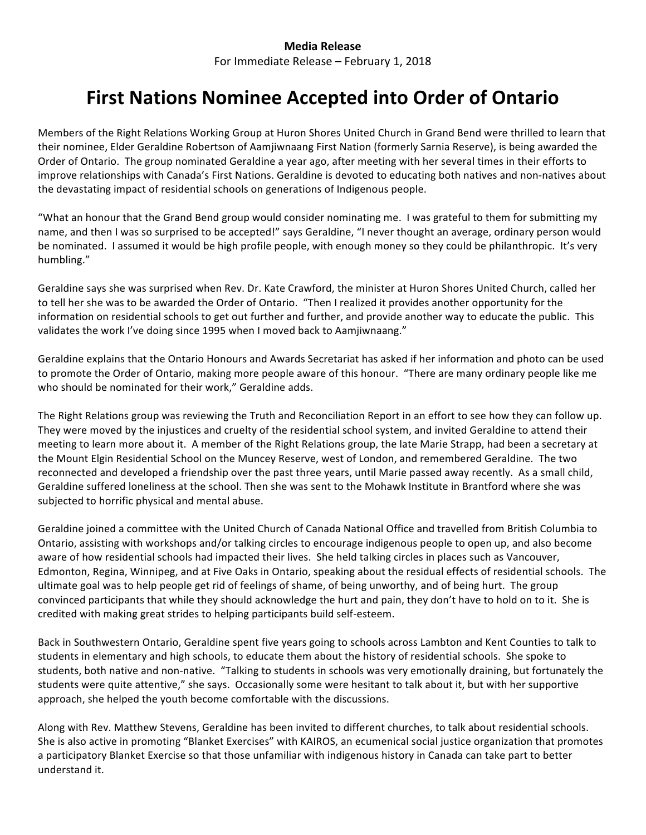## **Media Release**

For Immediate Release – February 1, 2018

## **First Nations Nominee Accepted into Order of Ontario**

Members of the Right Relations Working Group at Huron Shores United Church in Grand Bend were thrilled to learn that their nominee, Elder Geraldine Robertson of Aamjiwnaang First Nation (formerly Sarnia Reserve), is being awarded the Order of Ontario. The group nominated Geraldine a year ago, after meeting with her several times in their efforts to improve relationships with Canada's First Nations. Geraldine is devoted to educating both natives and non-natives about the devastating impact of residential schools on generations of Indigenous people.

"What an honour that the Grand Bend group would consider nominating me. I was grateful to them for submitting my name, and then I was so surprised to be accepted!" says Geraldine, "I never thought an average, ordinary person would be nominated. I assumed it would be high profile people, with enough money so they could be philanthropic. It's very humbling." 

Geraldine says she was surprised when Rev. Dr. Kate Crawford, the minister at Huron Shores United Church, called her to tell her she was to be awarded the Order of Ontario. "Then I realized it provides another opportunity for the information on residential schools to get out further and further, and provide another way to educate the public. This validates the work I've doing since 1995 when I moved back to Aamjiwnaang."

Geraldine explains that the Ontario Honours and Awards Secretariat has asked if her information and photo can be used to promote the Order of Ontario, making more people aware of this honour. "There are many ordinary people like me who should be nominated for their work," Geraldine adds.

The Right Relations group was reviewing the Truth and Reconciliation Report in an effort to see how they can follow up. They were moved by the injustices and cruelty of the residential school system, and invited Geraldine to attend their meeting to learn more about it. A member of the Right Relations group, the late Marie Strapp, had been a secretary at the Mount Elgin Residential School on the Muncey Reserve, west of London, and remembered Geraldine. The two reconnected and developed a friendship over the past three years, until Marie passed away recently. As a small child, Geraldine suffered loneliness at the school. Then she was sent to the Mohawk Institute in Brantford where she was subjected to horrific physical and mental abuse.

Geraldine joined a committee with the United Church of Canada National Office and travelled from British Columbia to Ontario, assisting with workshops and/or talking circles to encourage indigenous people to open up, and also become aware of how residential schools had impacted their lives. She held talking circles in places such as Vancouver, Edmonton, Regina, Winnipeg, and at Five Oaks in Ontario, speaking about the residual effects of residential schools. The ultimate goal was to help people get rid of feelings of shame, of being unworthy, and of being hurt. The group convinced participants that while they should acknowledge the hurt and pain, they don't have to hold on to it. She is credited with making great strides to helping participants build self-esteem.

Back in Southwestern Ontario, Geraldine spent five years going to schools across Lambton and Kent Counties to talk to students in elementary and high schools, to educate them about the history of residential schools. She spoke to students, both native and non-native. "Talking to students in schools was very emotionally draining, but fortunately the students were quite attentive," she says. Occasionally some were hesitant to talk about it, but with her supportive approach, she helped the youth become comfortable with the discussions.

Along with Rev. Matthew Stevens, Geraldine has been invited to different churches, to talk about residential schools. She is also active in promoting "Blanket Exercises" with KAIROS, an ecumenical social justice organization that promotes a participatory Blanket Exercise so that those unfamiliar with indigenous history in Canada can take part to better understand it.